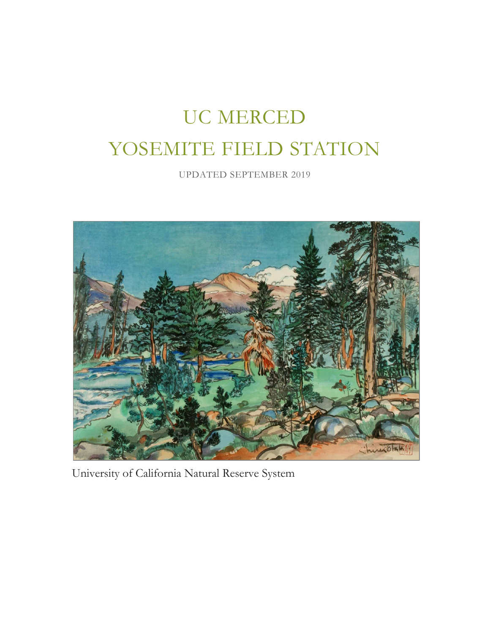# UC MERCED YOSEMITE FIELD STATION

UPDATED SEPTEMBER 2019



University of California Natural Reserve System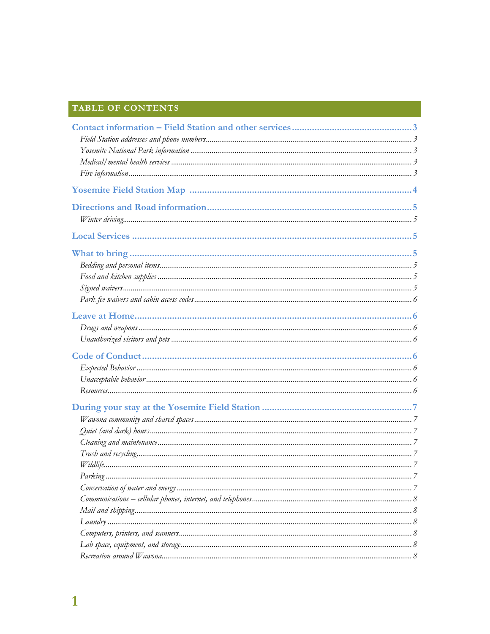# TABLE OF CONTENTS

| 7 |
|---|
|   |
|   |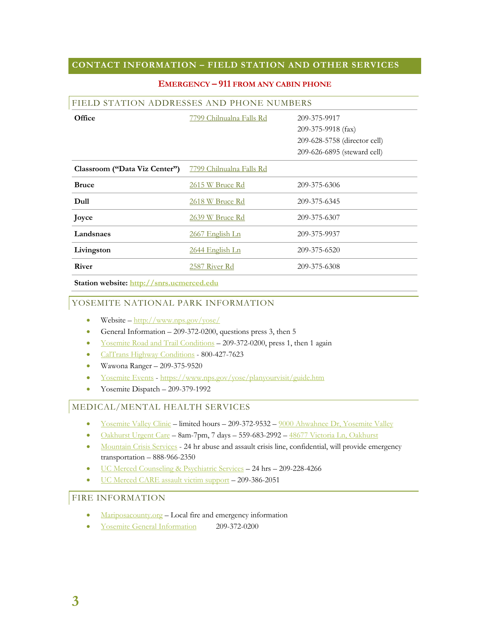# **CONTACT INFORMATION – FIELD STATION AND OTHER SERVICES**

| FIELD STATION ADDRESSES AND PHONE NUMBERS |                          |                              |  |  |
|-------------------------------------------|--------------------------|------------------------------|--|--|
| Office                                    | 7799 Chilnualna Falls Rd | 209-375-9917                 |  |  |
|                                           |                          | 209-375-9918 (fax)           |  |  |
|                                           |                          | 209-628-5758 (director cell) |  |  |
|                                           |                          | 209-626-6895 (steward cell)  |  |  |
| Classroom ("Data Viz Center")             | 7799 Chilnualna Falls Rd |                              |  |  |
| <b>Bruce</b>                              | 2615 W Bruce Rd          | 209-375-6306                 |  |  |
| Dull                                      | 2618 W Bruce Rd          | 209-375-6345                 |  |  |
| Joyce                                     | 2639 W Bruce Rd          | 209-375-6307                 |  |  |
| Landsnaes                                 | 2667 English Ln          | 209-375-9937                 |  |  |
| Livingston                                | 2644 English Ln          | 209-375-6520                 |  |  |
| <b>River</b>                              | 2587 River Rd            | 209-375-6308                 |  |  |
|                                           |                          |                              |  |  |

#### **EMERGENCY – 911 FROM ANY CABIN PHONE**

**Station website: http://snrs.ucmerced.edu**

#### YOSEMITE NATIONAL PARK INFORMATION

- Website  $-\frac{\text{http://www.nps.gov/yose/}}{\text{http://www.nps.gov/yose/}}$
- General Information  $-209-372-0200$ , questions press 3, then 5
- Yosemite Road and Trail Conditions 209-372-0200, press 1, then 1 again
- CalTrans Highway Conditions 800-427-7623
- Wawona Ranger 209-375-9520
- Yosemite Events https://www.nps.gov/yose/planyourvisit/guide.htm
- Yosemite Dispatch 209-379-1992

#### MEDICAL/MENTAL HEALTH SERVICES

- Yosemite Valley Clinic limited hours 209-372-9532 9000 Ahwahnee Dr, Yosemite Valley
- Oakhurst Urgent Care 8am-7pm, 7 days 559-683-2992 48677 Victoria Ln, Oakhurst
- Mountain Crisis Services 24 hr abuse and assault crisis line, confidential, will provide emergency transportation – 888-966-2350
- UC Merced Counseling & Psychiatric Services 24 hrs 209-228-4266
- UC Merced CARE assault victim support 209-386-2051

# FIRE INFORMATION

- Mariposacounty.org Local fire and emergency information
- Yosemite General Information 209-372-0200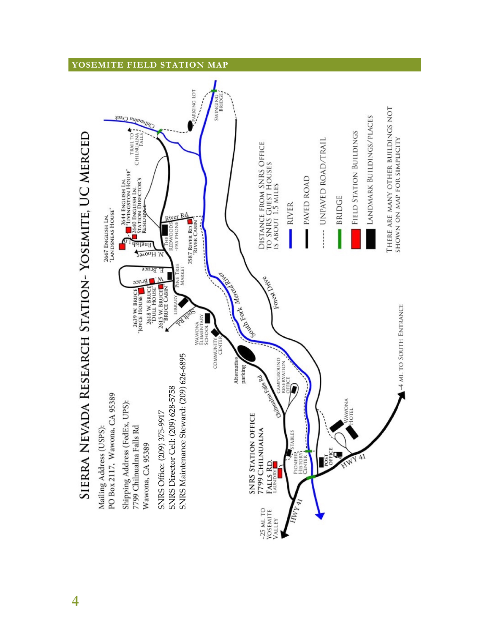# **YOSEMITE FIELD STATION MAP**



**4**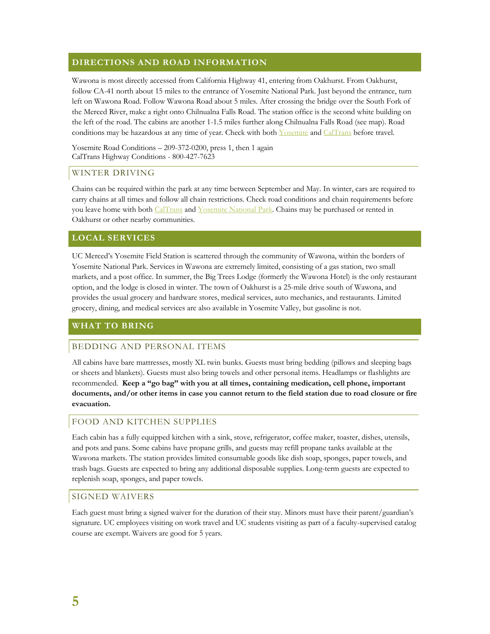# **DIRECTIONS AND ROAD INFORMATION**

Wawona is most directly accessed from California Highway 41, entering from Oakhurst. From Oakhurst, follow CA-41 north about 15 miles to the entrance of Yosemite National Park. Just beyond the entrance, turn left on Wawona Road. Follow Wawona Road about 5 miles. After crossing the bridge over the South Fork of the Merced River, make a right onto Chilnualna Falls Road. The station office is the second white building on the left of the road. The cabins are another 1-1.5 miles further along Chilnualna Falls Road (see map). Road conditions may be hazardous at any time of year. Check with both Yosemite and CalTrans before travel.

Yosemite Road Conditions – 209-372-0200, press 1, then 1 again CalTrans Highway Conditions - 800-427-7623

#### WINTER DRIVING

Chains can be required within the park at any time between September and May. In winter, cars are required to carry chains at all times and follow all chain restrictions. Check road conditions and chain requirements before you leave home with both CalTrans and Yosemite National Park. Chains may be purchased or rented in Oakhurst or other nearby communities.

# **LOCAL SERVICES**

UC Merced's Yosemite Field Station is scattered through the community of Wawona, within the borders of Yosemite National Park. Services in Wawona are extremely limited, consisting of a gas station, two small markets, and a post office. In summer, the Big Trees Lodge (formerly the Wawona Hotel) is the only restaurant option, and the lodge is closed in winter. The town of Oakhurst is a 25-mile drive south of Wawona, and provides the usual grocery and hardware stores, medical services, auto mechanics, and restaurants. Limited grocery, dining, and medical services are also available in Yosemite Valley, but gasoline is not.

#### **WHAT TO BRING**

#### BEDDING AND PERSONAL ITEMS

All cabins have bare mattresses, mostly XL twin bunks. Guests must bring bedding (pillows and sleeping bags or sheets and blankets). Guests must also bring towels and other personal items. Headlamps or flashlights are recommended. **Keep a "go bag" with you at all times, containing medication, cell phone, important documents, and/or other items in case you cannot return to the field station due to road closure or fire evacuation.** 

#### FOOD AND KITCHEN SUPPLIES

Each cabin has a fully equipped kitchen with a sink, stove, refrigerator, coffee maker, toaster, dishes, utensils, and pots and pans. Some cabins have propane grills, and guests may refill propane tanks available at the Wawona markets. The station provides limited consumable goods like dish soap, sponges, paper towels, and trash bags. Guests are expected to bring any additional disposable supplies. Long-term guests are expected to replenish soap, sponges, and paper towels.

#### SIGNED WAIVERS

Each guest must bring a signed waiver for the duration of their stay. Minors must have their parent/guardian's signature. UC employees visiting on work travel and UC students visiting as part of a faculty-supervised catalog course are exempt. Waivers are good for 5 years.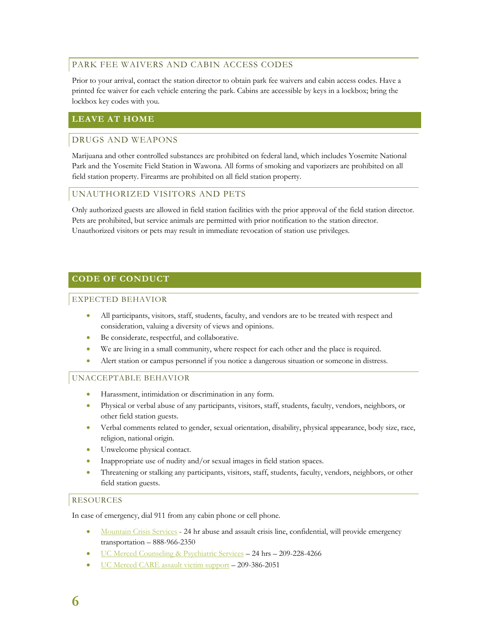# PARK FEE WAIVERS AND CABIN ACCESS CODES

Prior to your arrival, contact the station director to obtain park fee waivers and cabin access codes. Have a printed fee waiver for each vehicle entering the park. Cabins are accessible by keys in a lockbox; bring the lockbox key codes with you.

# **LEAVE AT HOME**

# DRUGS AND WEAPONS

Marijuana and other controlled substances are prohibited on federal land, which includes Yosemite National Park and the Yosemite Field Station in Wawona. All forms of smoking and vaporizers are prohibited on all field station property. Firearms are prohibited on all field station property.

# UNAUTHORIZED VISITORS AND PETS

Only authorized guests are allowed in field station facilities with the prior approval of the field station director. Pets are prohibited, but service animals are permitted with prior notification to the station director. Unauthorized visitors or pets may result in immediate revocation of station use privileges.

# **CODE OF CONDUCT**

#### EXPECTED BEHAVIOR

- All participants, visitors, staff, students, faculty, and vendors are to be treated with respect and consideration, valuing a diversity of views and opinions.
- Be considerate, respectful, and collaborative.
- We are living in a small community, where respect for each other and the place is required.
- Alert station or campus personnel if you notice a dangerous situation or someone in distress.

# UNACCEPTABLE BEHAVIOR

- Harassment, intimidation or discrimination in any form.
- Physical or verbal abuse of any participants, visitors, staff, students, faculty, vendors, neighbors, or other field station guests.
- Verbal comments related to gender, sexual orientation, disability, physical appearance, body size, race, religion, national origin.
- Unwelcome physical contact.
- Inappropriate use of nudity and/or sexual images in field station spaces.
- Threatening or stalking any participants, visitors, staff, students, faculty, vendors, neighbors, or other field station guests.

#### RESOURCES

In case of emergency, dial 911 from any cabin phone or cell phone.

- Mountain Crisis Services 24 hr abuse and assault crisis line, confidential, will provide emergency transportation – 888-966-2350
- UC Merced Counseling & Psychiatric Services 24 hrs 209-228-4266
- UC Merced CARE assault victim support 209-386-2051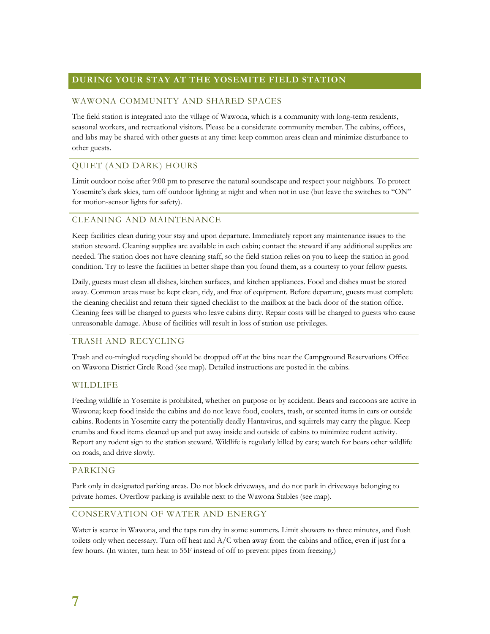# **DURING YOUR STAY AT THE YOSEMITE FIELD STATION**

#### WAWONA COMMUNITY AND SHARED SPACES

The field station is integrated into the village of Wawona, which is a community with long-term residents, seasonal workers, and recreational visitors. Please be a considerate community member. The cabins, offices, and labs may be shared with other guests at any time: keep common areas clean and minimize disturbance to other guests.

# QUIET (AND DARK) HOURS

Limit outdoor noise after 9:00 pm to preserve the natural soundscape and respect your neighbors. To protect Yosemite's dark skies, turn off outdoor lighting at night and when not in use (but leave the switches to "ON" for motion-sensor lights for safety).

# CLEANING AND MAINTENANCE

Keep facilities clean during your stay and upon departure. Immediately report any maintenance issues to the station steward. Cleaning supplies are available in each cabin; contact the steward if any additional supplies are needed. The station does not have cleaning staff, so the field station relies on you to keep the station in good condition. Try to leave the facilities in better shape than you found them, as a courtesy to your fellow guests.

Daily, guests must clean all dishes, kitchen surfaces, and kitchen appliances. Food and dishes must be stored away. Common areas must be kept clean, tidy, and free of equipment. Before departure, guests must complete the cleaning checklist and return their signed checklist to the mailbox at the back door of the station office. Cleaning fees will be charged to guests who leave cabins dirty. Repair costs will be charged to guests who cause unreasonable damage. Abuse of facilities will result in loss of station use privileges.

#### TRASH AND RECYCLING

Trash and co-mingled recycling should be dropped off at the bins near the Campground Reservations Office on Wawona District Circle Road (see map). Detailed instructions are posted in the cabins.

#### WILDLIFE

Feeding wildlife in Yosemite is prohibited, whether on purpose or by accident. Bears and raccoons are active in Wawona; keep food inside the cabins and do not leave food, coolers, trash, or scented items in cars or outside cabins. Rodents in Yosemite carry the potentially deadly Hantavirus, and squirrels may carry the plague. Keep crumbs and food items cleaned up and put away inside and outside of cabins to minimize rodent activity. Report any rodent sign to the station steward. Wildlife is regularly killed by cars; watch for bears other wildlife on roads, and drive slowly.

#### PARKING

Park only in designated parking areas. Do not block driveways, and do not park in driveways belonging to private homes. Overflow parking is available next to the Wawona Stables (see map).

#### CONSERVATION OF WATER AND ENERGY

Water is scarce in Wawona, and the taps run dry in some summers. Limit showers to three minutes, and flush toilets only when necessary. Turn off heat and A/C when away from the cabins and office, even if just for a few hours. (In winter, turn heat to 55F instead of off to prevent pipes from freezing.)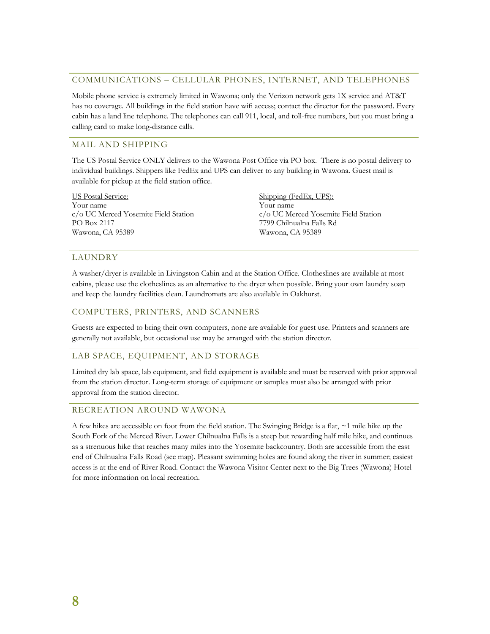#### COMMUNICATIONS – CELLULAR PHONES, INTERNET, AND TELEPHONES

Mobile phone service is extremely limited in Wawona; only the Verizon network gets 1X service and AT&T has no coverage. All buildings in the field station have wifi access; contact the director for the password. Every cabin has a land line telephone. The telephones can call 911, local, and toll-free numbers, but you must bring a calling card to make long-distance calls.

# MAIL AND SHIPPING

The US Postal Service ONLY delivers to the Wawona Post Office via PO box. There is no postal delivery to individual buildings. Shippers like FedEx and UPS can deliver to any building in Wawona. Guest mail is available for pickup at the field station office.

US Postal Service: Your name c/o UC Merced Yosemite Field Station PO Box 2117 Wawona, CA 95389

Shipping (FedEx, UPS): Your name c/o UC Merced Yosemite Field Station 7799 Chilnualna Falls Rd Wawona, CA 95389

# LAUNDRY

A washer/dryer is available in Livingston Cabin and at the Station Office. Clotheslines are available at most cabins, please use the clotheslines as an alternative to the dryer when possible. Bring your own laundry soap and keep the laundry facilities clean. Laundromats are also available in Oakhurst.

#### COMPUTERS, PRINTERS, AND SCANNERS

Guests are expected to bring their own computers, none are available for guest use. Printers and scanners are generally not available, but occasional use may be arranged with the station director.

# LAB SPACE, EQUIPMENT, AND STORAGE

Limited dry lab space, lab equipment, and field equipment is available and must be reserved with prior approval from the station director. Long-term storage of equipment or samples must also be arranged with prior approval from the station director.

#### RECREATION AROUND WAWONA

A few hikes are accessible on foot from the field station. The Swinging Bridge is a flat,  $\sim$ 1 mile hike up the South Fork of the Merced River. Lower Chilnualna Falls is a steep but rewarding half mile hike, and continues as a strenuous hike that reaches many miles into the Yosemite backcountry. Both are accessible from the east end of Chilnualna Falls Road (see map). Pleasant swimming holes are found along the river in summer; easiest access is at the end of River Road. Contact the Wawona Visitor Center next to the Big Trees (Wawona) Hotel for more information on local recreation.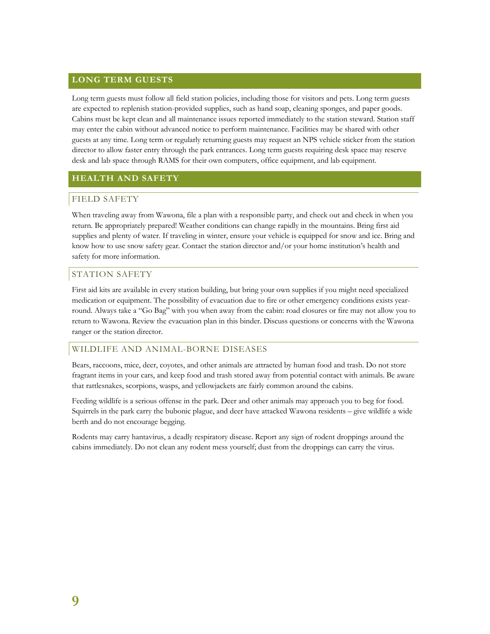# **LONG TERM GUESTS**

Long term guests must follow all field station policies, including those for visitors and pets. Long term guests are expected to replenish station-provided supplies, such as hand soap, cleaning sponges, and paper goods. Cabins must be kept clean and all maintenance issues reported immediately to the station steward. Station staff may enter the cabin without advanced notice to perform maintenance. Facilities may be shared with other guests at any time. Long term or regularly returning guests may request an NPS vehicle sticker from the station director to allow faster entry through the park entrances. Long term guests requiring desk space may reserve desk and lab space through RAMS for their own computers, office equipment, and lab equipment.

# **HEALTH AND SAFETY**

# FIELD SAFETY

When traveling away from Wawona, file a plan with a responsible party, and check out and check in when you return. Be appropriately prepared! Weather conditions can change rapidly in the mountains. Bring first aid supplies and plenty of water. If traveling in winter, ensure your vehicle is equipped for snow and ice. Bring and know how to use snow safety gear. Contact the station director and/or your home institution's health and safety for more information.

#### STATION SAFETY

First aid kits are available in every station building, but bring your own supplies if you might need specialized medication or equipment. The possibility of evacuation due to fire or other emergency conditions exists yearround. Always take a "Go Bag" with you when away from the cabin: road closures or fire may not allow you to return to Wawona. Review the evacuation plan in this binder. Discuss questions or concerns with the Wawona ranger or the station director.

#### WILDLIFE AND ANIMAL-BORNE DISEASES

Bears, raccoons, mice, deer, coyotes, and other animals are attracted by human food and trash. Do not store fragrant items in your cars, and keep food and trash stored away from potential contact with animals. Be aware that rattlesnakes, scorpions, wasps, and yellowjackets are fairly common around the cabins.

Feeding wildlife is a serious offense in the park. Deer and other animals may approach you to beg for food. Squirrels in the park carry the bubonic plague, and deer have attacked Wawona residents – give wildlife a wide berth and do not encourage begging.

Rodents may carry hantavirus, a deadly respiratory disease. Report any sign of rodent droppings around the cabins immediately. Do not clean any rodent mess yourself; dust from the droppings can carry the virus.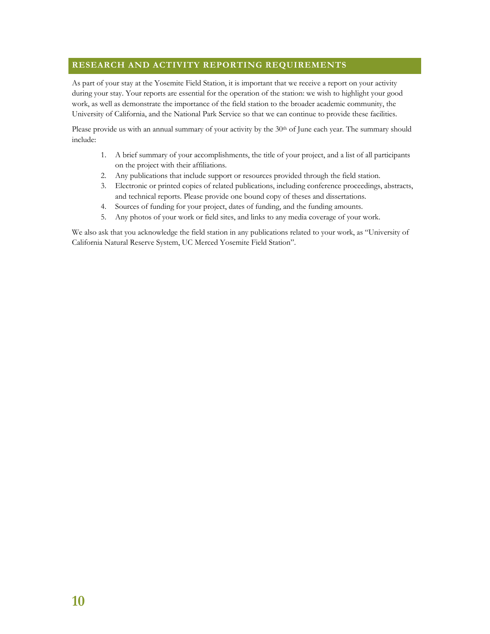# **RESEARCH AND ACTIVITY REPORTING REQUIREMENTS**

As part of your stay at the Yosemite Field Station, it is important that we receive a report on your activity during your stay. Your reports are essential for the operation of the station: we wish to highlight your good work, as well as demonstrate the importance of the field station to the broader academic community, the University of California, and the National Park Service so that we can continue to provide these facilities.

Please provide us with an annual summary of your activity by the 30<sup>th</sup> of June each year. The summary should include:

- 1. A brief summary of your accomplishments, the title of your project, and a list of all participants on the project with their affiliations.
- 2. Any publications that include support or resources provided through the field station.
- 3. Electronic or printed copies of related publications, including conference proceedings, abstracts, and technical reports. Please provide one bound copy of theses and dissertations.
- 4. Sources of funding for your project, dates of funding, and the funding amounts.
- 5. Any photos of your work or field sites, and links to any media coverage of your work.

We also ask that you acknowledge the field station in any publications related to your work, as "University of California Natural Reserve System, UC Merced Yosemite Field Station".